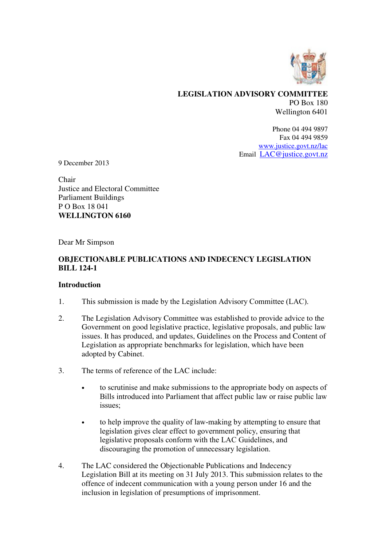

### **LEGISLATION ADVISORY COMMITTEE**  PO Box 180 Wellington 6401

Phone 04 494 9897 Fax 04 494 9859 www.justice.govt.nz/lac Email LAC@justice.govt.nz

9 December 2013

Chair Justice and Electoral Committee Parliament Buildings P O Box 18 041 **WELLINGTON 6160** 

Dear Mr Simpson

# **OBJECTIONABLE PUBLICATIONS AND INDECENCY LEGISLATION BILL 124-1**

### **Introduction**

- 1. This submission is made by the Legislation Advisory Committee (LAC).
- 2. The Legislation Advisory Committee was established to provide advice to the Government on good legislative practice, legislative proposals, and public law issues. It has produced, and updates, Guidelines on the Process and Content of Legislation as appropriate benchmarks for legislation, which have been adopted by Cabinet.
- 3. The terms of reference of the LAC include:
	- to scrutinise and make submissions to the appropriate body on aspects of Bills introduced into Parliament that affect public law or raise public law issues;
	- to help improve the quality of law-making by attempting to ensure that legislation gives clear effect to government policy, ensuring that legislative proposals conform with the LAC Guidelines, and discouraging the promotion of unnecessary legislation.
- 4. The LAC considered the Objectionable Publications and Indecency Legislation Bill at its meeting on 31 July 2013. This submission relates to the offence of indecent communication with a young person under 16 and the inclusion in legislation of presumptions of imprisonment.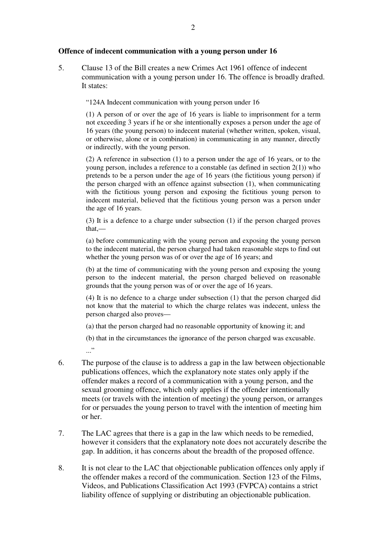#### **Offence of indecent communication with a young person under 16**

5. Clause 13 of the Bill creates a new Crimes Act 1961 offence of indecent communication with a young person under 16. The offence is broadly drafted. It states:

"124A Indecent communication with young person under 16

(1) A person of or over the age of 16 years is liable to imprisonment for a term not exceeding 3 years if he or she intentionally exposes a person under the age of 16 years (the young person) to indecent material (whether written, spoken, visual, or otherwise, alone or in combination) in communicating in any manner, directly or indirectly, with the young person.

(2) A reference in subsection (1) to a person under the age of 16 years, or to the young person, includes a reference to a constable (as defined in section 2(1)) who pretends to be a person under the age of 16 years (the fictitious young person) if the person charged with an offence against subsection (1), when communicating with the fictitious young person and exposing the fictitious young person to indecent material, believed that the fictitious young person was a person under the age of 16 years.

(3) It is a defence to a charge under subsection (1) if the person charged proves that,—

(a) before communicating with the young person and exposing the young person to the indecent material, the person charged had taken reasonable steps to find out whether the young person was of or over the age of 16 years; and

(b) at the time of communicating with the young person and exposing the young person to the indecent material, the person charged believed on reasonable grounds that the young person was of or over the age of 16 years.

(4) It is no defence to a charge under subsection (1) that the person charged did not know that the material to which the charge relates was indecent, unless the person charged also proves—

(a) that the person charged had no reasonable opportunity of knowing it; and

(b) that in the circumstances the ignorance of the person charged was excusable. ..."

- 6. The purpose of the clause is to address a gap in the law between objectionable publications offences, which the explanatory note states only apply if the offender makes a record of a communication with a young person, and the sexual grooming offence, which only applies if the offender intentionally meets (or travels with the intention of meeting) the young person, or arranges for or persuades the young person to travel with the intention of meeting him or her.
- 7. The LAC agrees that there is a gap in the law which needs to be remedied, however it considers that the explanatory note does not accurately describe the gap. In addition, it has concerns about the breadth of the proposed offence.
- 8. It is not clear to the LAC that objectionable publication offences only apply if the offender makes a record of the communication. Section 123 of the Films, Videos, and Publications Classification Act 1993 (FVPCA) contains a strict liability offence of supplying or distributing an objectionable publication.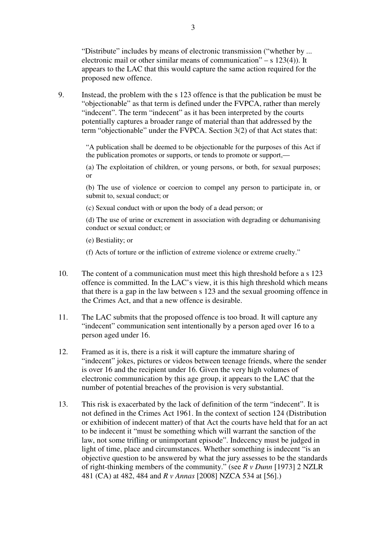"Distribute" includes by means of electronic transmission ("whether by ... electronic mail or other similar means of communication" – s  $123(4)$ ). It appears to the LAC that this would capture the same action required for the proposed new offence.

9. Instead, the problem with the s 123 offence is that the publication be must be "objectionable" as that term is defined under the FVPCA, rather than merely "indecent". The term "indecent" as it has been interpreted by the courts potentially captures a broader range of material than that addressed by the term "objectionable" under the FVPCA. Section 3(2) of that Act states that:

> "A publication shall be deemed to be objectionable for the purposes of this Act if the publication promotes or supports, or tends to promote or support,—

> (a) The exploitation of children, or young persons, or both, for sexual purposes; or

> (b) The use of violence or coercion to compel any person to participate in, or submit to, sexual conduct; or

(c) Sexual conduct with or upon the body of a dead person; or

(d) The use of urine or excrement in association with degrading or dehumanising conduct or sexual conduct; or

(e) Bestiality; or

(f) Acts of torture or the infliction of extreme violence or extreme cruelty."

- 10. The content of a communication must meet this high threshold before a s 123 offence is committed. In the LAC's view, it is this high threshold which means that there is a gap in the law between s 123 and the sexual grooming offence in the Crimes Act, and that a new offence is desirable.
- 11. The LAC submits that the proposed offence is too broad. It will capture any "indecent" communication sent intentionally by a person aged over 16 to a person aged under 16.
- 12. Framed as it is, there is a risk it will capture the immature sharing of "indecent" jokes, pictures or videos between teenage friends, where the sender is over 16 and the recipient under 16. Given the very high volumes of electronic communication by this age group, it appears to the LAC that the number of potential breaches of the provision is very substantial.
- 13. This risk is exacerbated by the lack of definition of the term "indecent". It is not defined in the Crimes Act 1961. In the context of section 124 (Distribution or exhibition of indecent matter) of that Act the courts have held that for an act to be indecent it "must be something which will warrant the sanction of the law, not some trifling or unimportant episode". Indecency must be judged in light of time, place and circumstances. Whether something is indecent "is an objective question to be answered by what the jury assesses to be the standards of right-thinking members of the community." (see *R v Dunn* [1973] 2 NZLR 481 (CA) at 482, 484 and *R v Annas* [2008] NZCA 534 at [56].)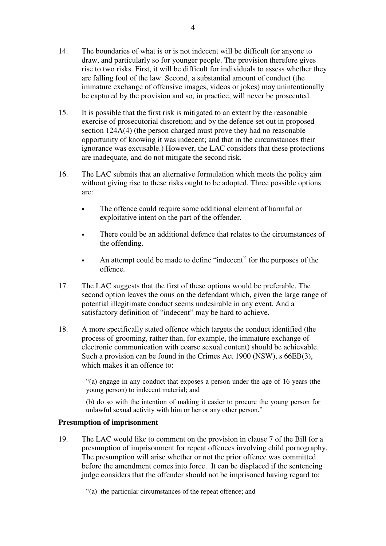- 14. The boundaries of what is or is not indecent will be difficult for anyone to draw, and particularly so for younger people. The provision therefore gives rise to two risks. First, it will be difficult for individuals to assess whether they are falling foul of the law. Second, a substantial amount of conduct (the immature exchange of offensive images, videos or jokes) may unintentionally be captured by the provision and so, in practice, will never be prosecuted.
- 15. It is possible that the first risk is mitigated to an extent by the reasonable exercise of prosecutorial discretion; and by the defence set out in proposed section 124A(4) (the person charged must prove they had no reasonable opportunity of knowing it was indecent; and that in the circumstances their ignorance was excusable.) However, the LAC considers that these protections are inadequate, and do not mitigate the second risk.
- 16. The LAC submits that an alternative formulation which meets the policy aim without giving rise to these risks ought to be adopted. Three possible options are:
	- The offence could require some additional element of harmful or exploitative intent on the part of the offender.
	- There could be an additional defence that relates to the circumstances of the offending.
	- An attempt could be made to define "indecent" for the purposes of the offence.
- 17. The LAC suggests that the first of these options would be preferable. The second option leaves the onus on the defendant which, given the large range of potential illegitimate conduct seems undesirable in any event. And a satisfactory definition of "indecent" may be hard to achieve.
- 18. A more specifically stated offence which targets the conduct identified (the process of grooming, rather than, for example, the immature exchange of electronic communication with coarse sexual content) should be achievable. Such a provision can be found in the Crimes Act 1900 (NSW), s 66EB(3), which makes it an offence to:

"(a) engage in any conduct that exposes a person under the age of 16 years (the young person) to indecent material; and

(b) do so with the intention of making it easier to procure the young person for unlawful sexual activity with him or her or any other person."

# **Presumption of imprisonment**

19. The LAC would like to comment on the provision in clause 7 of the Bill for a presumption of imprisonment for repeat offences involving child pornography. The presumption will arise whether or not the prior offence was committed before the amendment comes into force. It can be displaced if the sentencing judge considers that the offender should not be imprisoned having regard to:

"(a) the particular circumstances of the repeat offence; and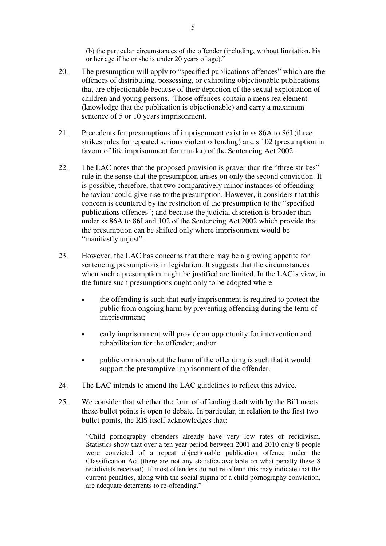(b) the particular circumstances of the offender (including, without limitation, his or her age if he or she is under 20 years of age)."

- 20. The presumption will apply to "specified publications offences" which are the offences of distributing, possessing, or exhibiting objectionable publications that are objectionable because of their depiction of the sexual exploitation of children and young persons. Those offences contain a mens rea element (knowledge that the publication is objectionable) and carry a maximum sentence of 5 or 10 years imprisonment.
- 21. Precedents for presumptions of imprisonment exist in ss 86A to 86I (three strikes rules for repeated serious violent offending) and s 102 (presumption in favour of life imprisonment for murder) of the Sentencing Act 2002.
- 22. The LAC notes that the proposed provision is graver than the "three strikes" rule in the sense that the presumption arises on only the second conviction. It is possible, therefore, that two comparatively minor instances of offending behaviour could give rise to the presumption. However, it considers that this concern is countered by the restriction of the presumption to the "specified publications offences"; and because the judicial discretion is broader than under ss 86A to 86I and 102 of the Sentencing Act 2002 which provide that the presumption can be shifted only where imprisonment would be "manifestly unjust".
- 23. However, the LAC has concerns that there may be a growing appetite for sentencing presumptions in legislation. It suggests that the circumstances when such a presumption might be justified are limited. In the LAC's view, in the future such presumptions ought only to be adopted where:
	- the offending is such that early imprisonment is required to protect the public from ongoing harm by preventing offending during the term of imprisonment;
	- early imprisonment will provide an opportunity for intervention and rehabilitation for the offender; and/or
	- public opinion about the harm of the offending is such that it would support the presumptive imprisonment of the offender.
- 24. The LAC intends to amend the LAC guidelines to reflect this advice.
- 25. We consider that whether the form of offending dealt with by the Bill meets these bullet points is open to debate. In particular, in relation to the first two bullet points, the RIS itself acknowledges that:

"Child pornography offenders already have very low rates of recidivism. Statistics show that over a ten year period between 2001 and 2010 only 8 people were convicted of a repeat objectionable publication offence under the Classification Act (there are not any statistics available on what penalty these 8 recidivists received). If most offenders do not re-offend this may indicate that the current penalties, along with the social stigma of a child pornography conviction, are adequate deterrents to re-offending."